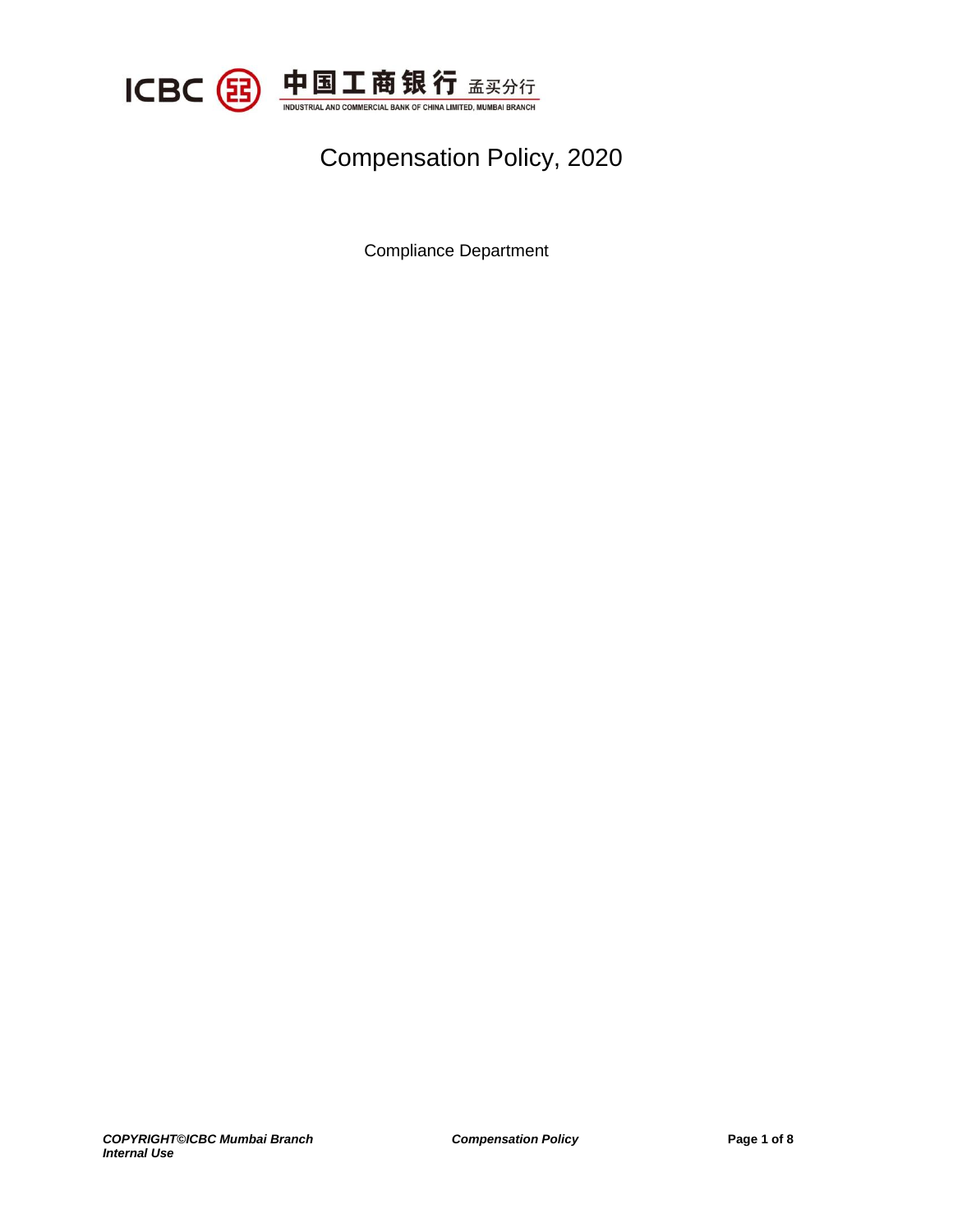

## Compensation Policy, 2020

Compliance Department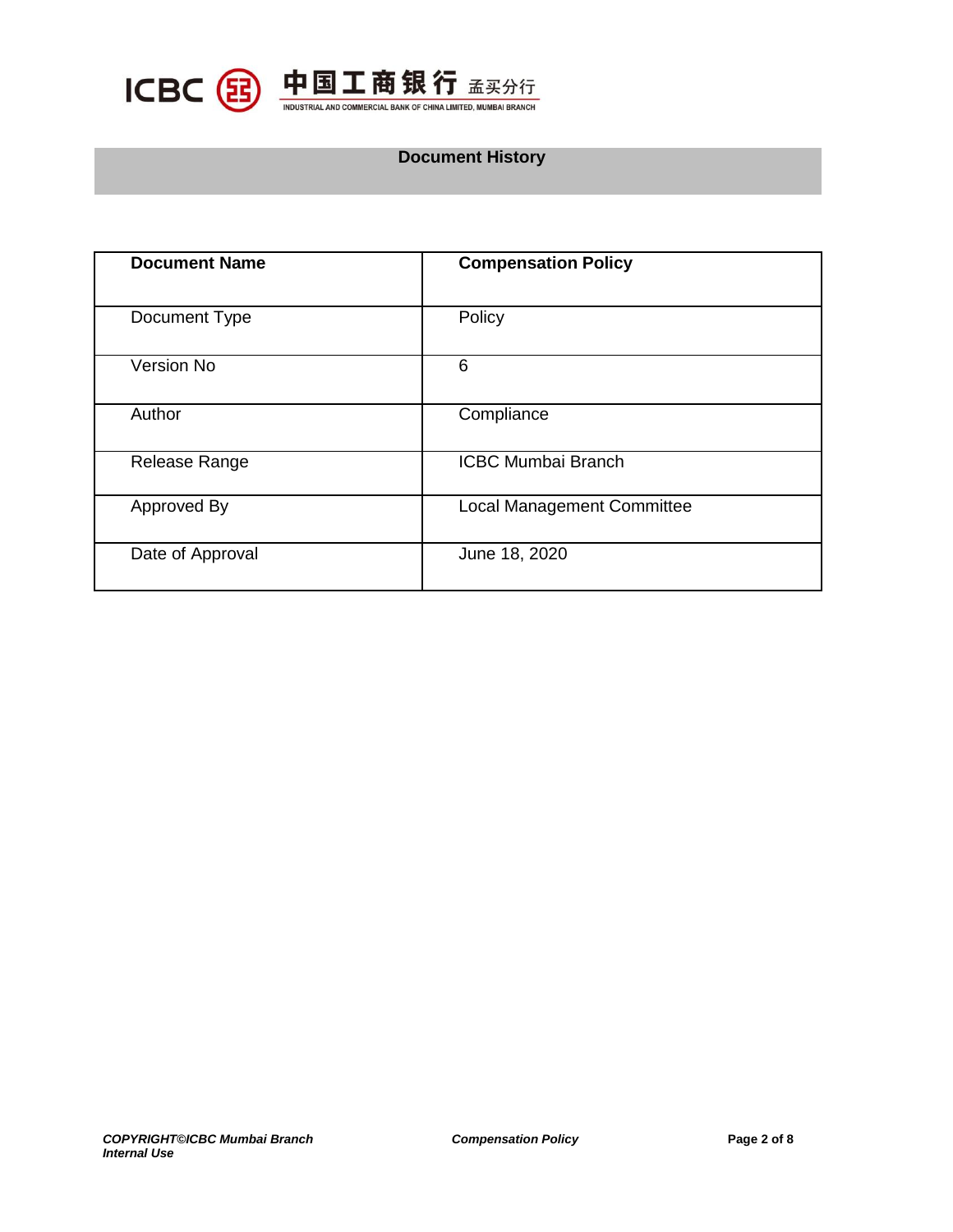

### **Document History**

| <b>Document Name</b> | <b>Compensation Policy</b>        |
|----------------------|-----------------------------------|
| Document Type        | Policy                            |
| Version No           | 6                                 |
| Author               | Compliance                        |
| Release Range        | <b>ICBC Mumbai Branch</b>         |
| Approved By          | <b>Local Management Committee</b> |
| Date of Approval     | June 18, 2020                     |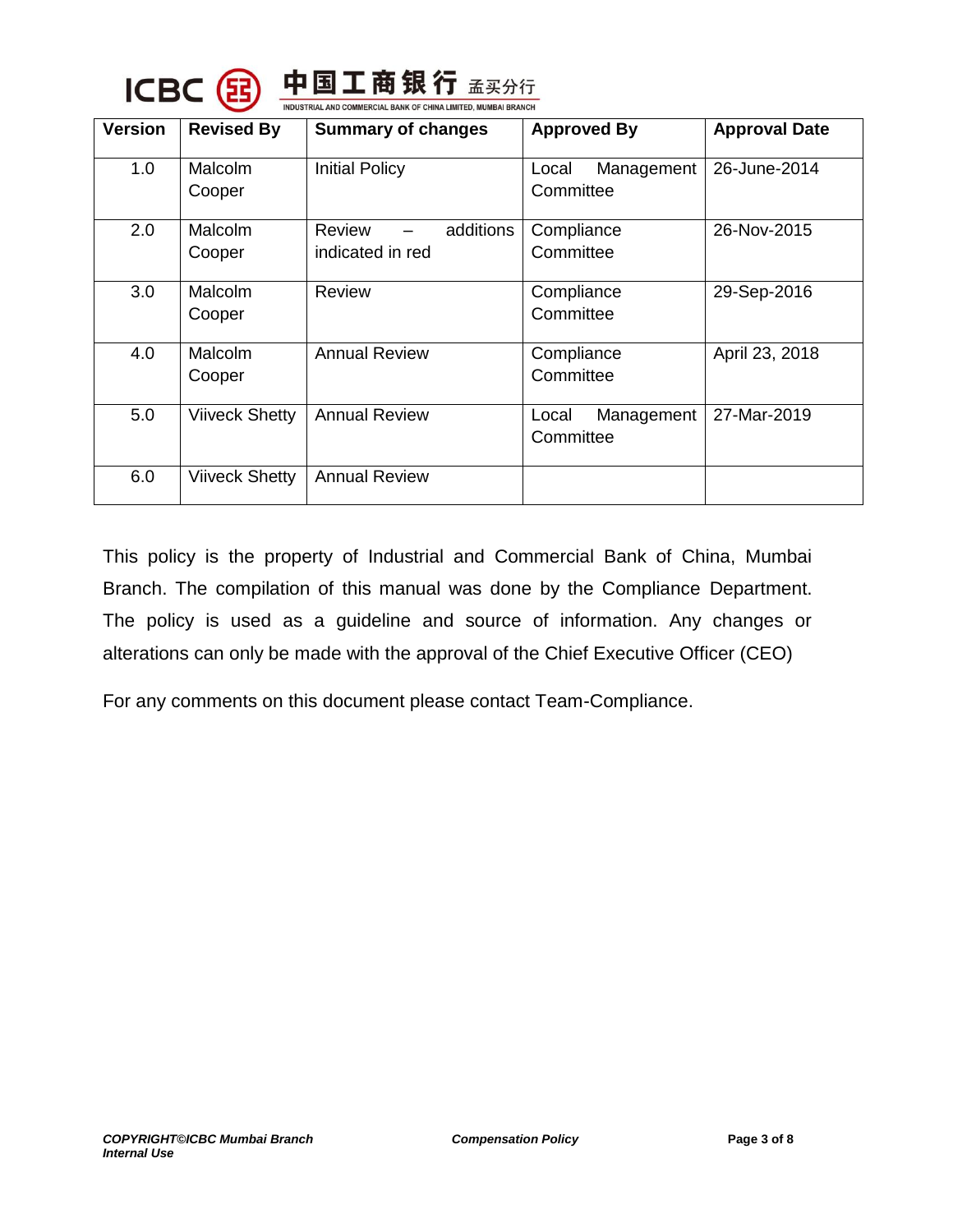

| <b>Version</b> | <b>Revised By</b>     | <b>Summary of changes</b>                      | <b>Approved By</b>               | <b>Approval Date</b> |
|----------------|-----------------------|------------------------------------------------|----------------------------------|----------------------|
| 1.0            | Malcolm<br>Cooper     | <b>Initial Policy</b>                          | Management<br>Local<br>Committee | 26-June-2014         |
| 2.0            | Malcolm<br>Cooper     | <b>Review</b><br>additions<br>indicated in red | Compliance<br>Committee          | 26-Nov-2015          |
| 3.0            | Malcolm<br>Cooper     | <b>Review</b>                                  | Compliance<br>Committee          | 29-Sep-2016          |
| 4.0            | Malcolm<br>Cooper     | <b>Annual Review</b>                           | Compliance<br>Committee          | April 23, 2018       |
| 5.0            | <b>Viiveck Shetty</b> | <b>Annual Review</b>                           | Management<br>Local<br>Committee | 27-Mar-2019          |
| 6.0            | <b>Viiveck Shetty</b> | <b>Annual Review</b>                           |                                  |                      |

This policy is the property of Industrial and Commercial Bank of China, Mumbai Branch. The compilation of this manual was done by the Compliance Department. The policy is used as a guideline and source of information. Any changes or alterations can only be made with the approval of the Chief Executive Officer (CEO)

For any comments on this document please contact Team-Compliance.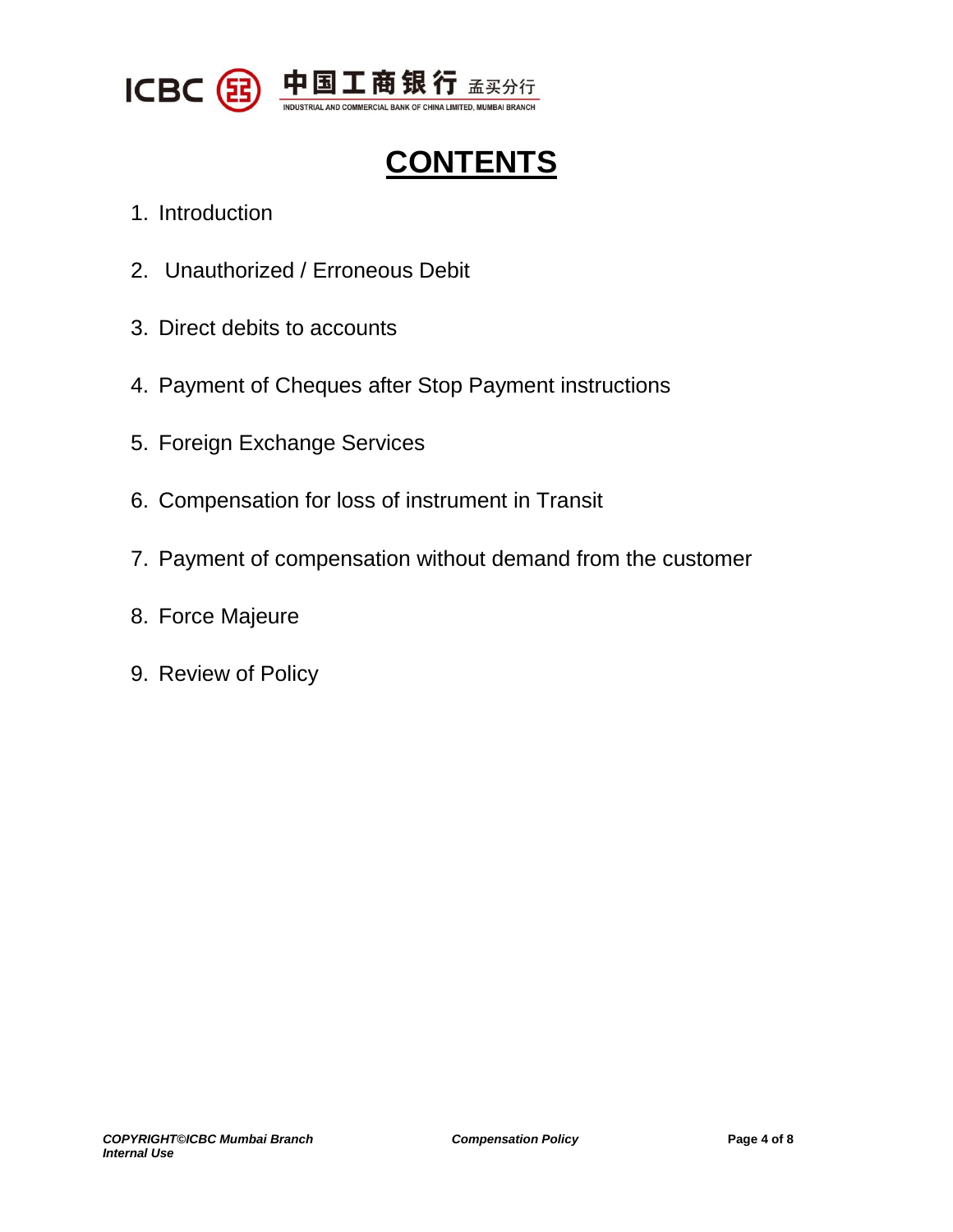

# **CONTENTS**

- 1. Introduction
- 2. Unauthorized / Erroneous Debit
- 3. Direct debits to accounts
- 4. Payment of Cheques after Stop Payment instructions
- 5. Foreign Exchange Services
- 6. Compensation for loss of instrument in Transit
- 7. Payment of compensation without demand from the customer
- 8. Force Majeure
- 9. Review of Policy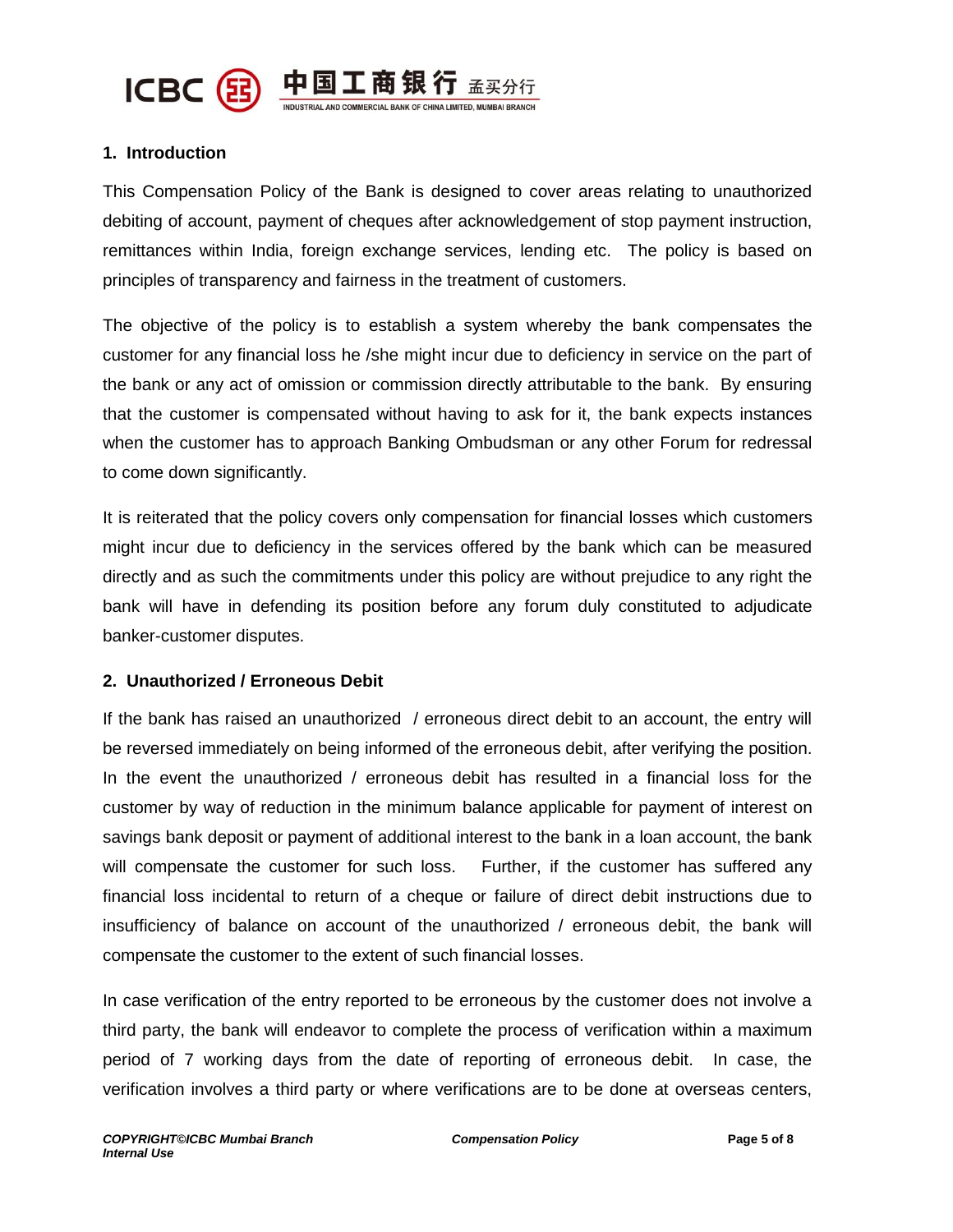

#### **1. Introduction**

This Compensation Policy of the Bank is designed to cover areas relating to unauthorized debiting of account, payment of cheques after acknowledgement of stop payment instruction, remittances within India, foreign exchange services, lending etc. The policy is based on principles of transparency and fairness in the treatment of customers.

The objective of the policy is to establish a system whereby the bank compensates the customer for any financial loss he /she might incur due to deficiency in service on the part of the bank or any act of omission or commission directly attributable to the bank. By ensuring that the customer is compensated without having to ask for it, the bank expects instances when the customer has to approach Banking Ombudsman or any other Forum for redressal to come down significantly.

It is reiterated that the policy covers only compensation for financial losses which customers might incur due to deficiency in the services offered by the bank which can be measured directly and as such the commitments under this policy are without prejudice to any right the bank will have in defending its position before any forum duly constituted to adjudicate banker-customer disputes.

#### **2. Unauthorized / Erroneous Debit**

If the bank has raised an unauthorized / erroneous direct debit to an account, the entry will be reversed immediately on being informed of the erroneous debit, after verifying the position. In the event the unauthorized / erroneous debit has resulted in a financial loss for the customer by way of reduction in the minimum balance applicable for payment of interest on savings bank deposit or payment of additional interest to the bank in a loan account, the bank will compensate the customer for such loss. Further, if the customer has suffered any financial loss incidental to return of a cheque or failure of direct debit instructions due to insufficiency of balance on account of the unauthorized / erroneous debit, the bank will compensate the customer to the extent of such financial losses.

In case verification of the entry reported to be erroneous by the customer does not involve a third party, the bank will endeavor to complete the process of verification within a maximum period of 7 working days from the date of reporting of erroneous debit. In case, the verification involves a third party or where verifications are to be done at overseas centers,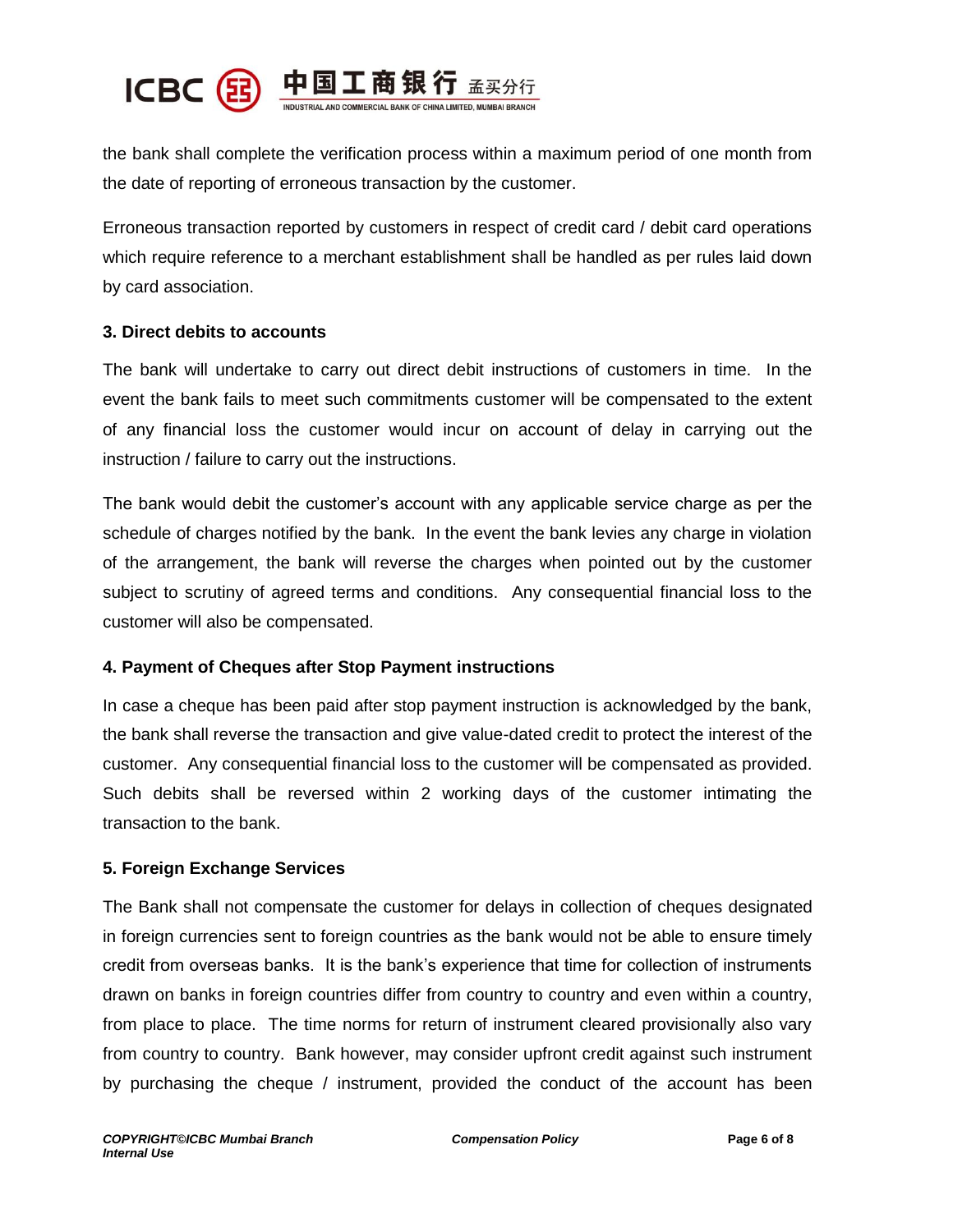

the bank shall complete the verification process within a maximum period of one month from the date of reporting of erroneous transaction by the customer.

Erroneous transaction reported by customers in respect of credit card / debit card operations which require reference to a merchant establishment shall be handled as per rules laid down by card association.

#### **3. Direct debits to accounts**

The bank will undertake to carry out direct debit instructions of customers in time. In the event the bank fails to meet such commitments customer will be compensated to the extent of any financial loss the customer would incur on account of delay in carrying out the instruction / failure to carry out the instructions.

The bank would debit the customer's account with any applicable service charge as per the schedule of charges notified by the bank. In the event the bank levies any charge in violation of the arrangement, the bank will reverse the charges when pointed out by the customer subject to scrutiny of agreed terms and conditions. Any consequential financial loss to the customer will also be compensated.

#### **4. Payment of Cheques after Stop Payment instructions**

In case a cheque has been paid after stop payment instruction is acknowledged by the bank, the bank shall reverse the transaction and give value-dated credit to protect the interest of the customer. Any consequential financial loss to the customer will be compensated as provided. Such debits shall be reversed within 2 working days of the customer intimating the transaction to the bank.

#### **5. Foreign Exchange Services**

The Bank shall not compensate the customer for delays in collection of cheques designated in foreign currencies sent to foreign countries as the bank would not be able to ensure timely credit from overseas banks. It is the bank's experience that time for collection of instruments drawn on banks in foreign countries differ from country to country and even within a country, from place to place. The time norms for return of instrument cleared provisionally also vary from country to country. Bank however, may consider upfront credit against such instrument by purchasing the cheque / instrument, provided the conduct of the account has been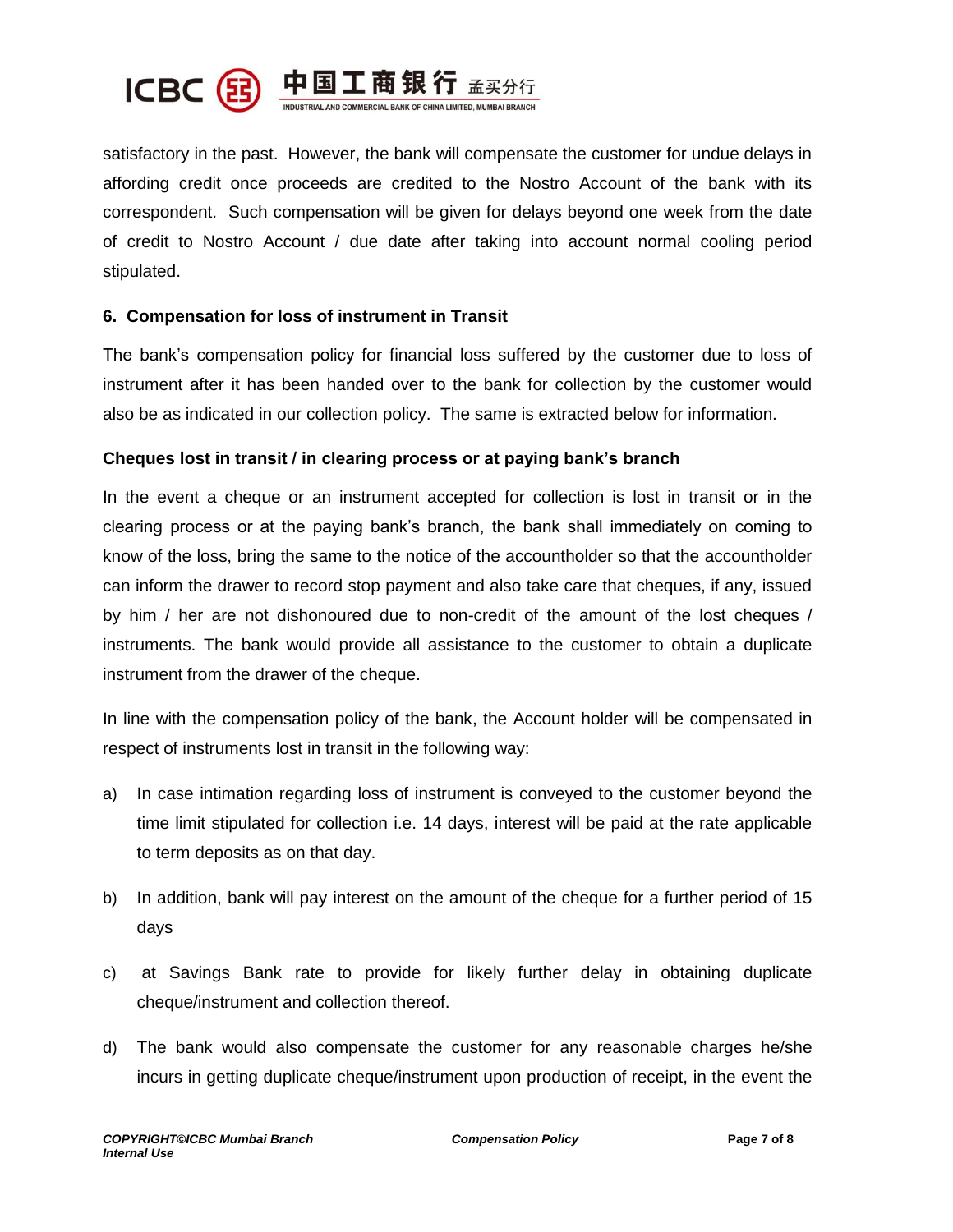

satisfactory in the past. However, the bank will compensate the customer for undue delays in affording credit once proceeds are credited to the Nostro Account of the bank with its correspondent. Such compensation will be given for delays beyond one week from the date of credit to Nostro Account / due date after taking into account normal cooling period stipulated.

#### **6. Compensation for loss of instrument in Transit**

The bank's compensation policy for financial loss suffered by the customer due to loss of instrument after it has been handed over to the bank for collection by the customer would also be as indicated in our collection policy. The same is extracted below for information.

#### **Cheques lost in transit / in clearing process or at paying bank's branch**

In the event a cheque or an instrument accepted for collection is lost in transit or in the clearing process or at the paying bank's branch, the bank shall immediately on coming to know of the loss, bring the same to the notice of the accountholder so that the accountholder can inform the drawer to record stop payment and also take care that cheques, if any, issued by him / her are not dishonoured due to non-credit of the amount of the lost cheques / instruments. The bank would provide all assistance to the customer to obtain a duplicate instrument from the drawer of the cheque.

In line with the compensation policy of the bank, the Account holder will be compensated in respect of instruments lost in transit in the following way:

- a) In case intimation regarding loss of instrument is conveyed to the customer beyond the time limit stipulated for collection i.e. 14 days, interest will be paid at the rate applicable to term deposits as on that day.
- b) In addition, bank will pay interest on the amount of the cheque for a further period of 15 days
- c) at Savings Bank rate to provide for likely further delay in obtaining duplicate cheque/instrument and collection thereof.
- d) The bank would also compensate the customer for any reasonable charges he/she incurs in getting duplicate cheque/instrument upon production of receipt, in the event the